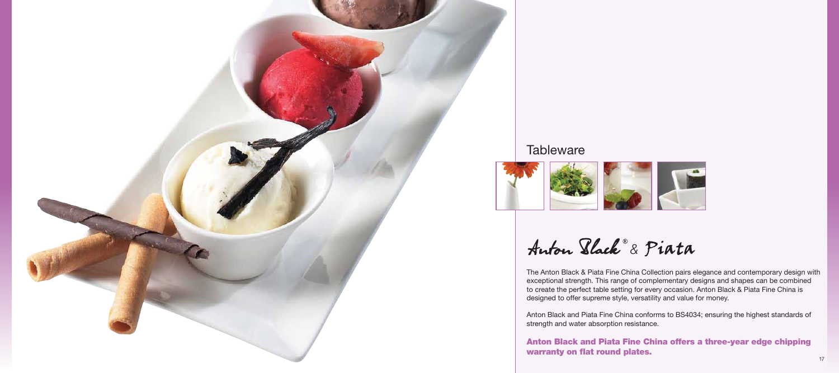

# **Tableware**



Auton Black<sup>®</sup> & Piata

The Anton Black & Piata Fine China Collection pairs elegance and contemporary design with exceptional strength. This range of complementary designs and shapes can be combined to create the perfect table setting for every occasion. Anton Black & Piata Fine China is designed to offer supreme style, versatility and value for money.

Anton Black and Piata Fine China conforms to BS4034; ensuring the highest standards of strength and water absorption resistance.



# Anton Black and Piata Fine China offers a three-year edge chipping warranty on flat round plates.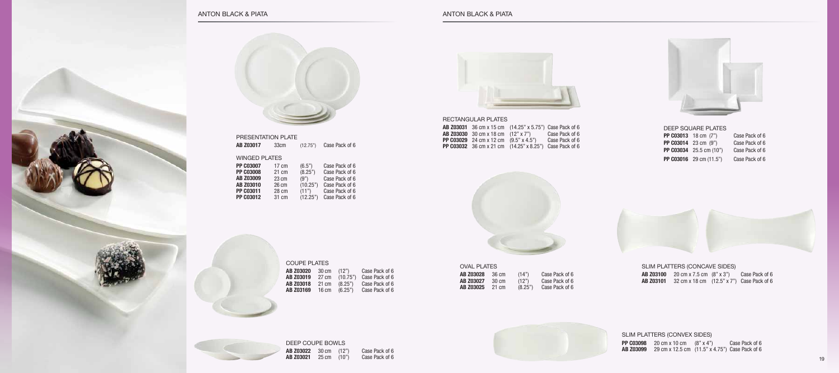

| <b>WINGED PLATES</b><br><b>PP C03007</b><br>(6.5")<br>$17 \text{ cm}$<br>(8.25")<br><b>PP C03008</b><br>21 cm<br>AB Z03009<br>(9")<br>$23 \text{ cm}$<br><b>AB Z03010</b><br>(10.25")<br>26 cm<br>PP C03011<br>(11")<br>28 cm<br><b>PP C03012</b><br>(12.25")<br>31 cm | <b>AB Z03017</b> | 33cm | (12.75") | Case Pack of 6                                                                                           |
|------------------------------------------------------------------------------------------------------------------------------------------------------------------------------------------------------------------------------------------------------------------------|------------------|------|----------|----------------------------------------------------------------------------------------------------------|
|                                                                                                                                                                                                                                                                        |                  |      |          |                                                                                                          |
|                                                                                                                                                                                                                                                                        |                  |      |          | Case Pack of 6<br>Case Pack of 6<br>Case Pack of 6<br>Case Pack of 6<br>Case Pack of 6<br>Case Pack of 6 |

# presentation plate

coupe plates



**AB Z03020** 30 cm (12") Case Pack of 6 **AB Z03019** 27 cm (10.75") Case Pack of 6 **AB Z03018** 21 cm (8.25") Case Pack of 6 **AB Z03169** 16 cm (6.25") Case Pack of 6



deep coupe bowls **AB Z03022** 30 cm (12") Case Pack of 6 **AB Z03021** 25 cm (10") Case Pack of 6



# rectangular plates

|                                                     | <b>AB Z03031</b> 36 cm x 15 cm (14.25" x 5.75") Case Pack of 6 |                |
|-----------------------------------------------------|----------------------------------------------------------------|----------------|
| <b>AB Z03030</b> 30 cm x 18 cm (12" x 7")           |                                                                | Case Pack of 6 |
| <b>PP C03029</b> 24 cm x 12 cm $(9.5" \times 4.5")$ |                                                                | Case Pack of 6 |
|                                                     | <b>PP C03032</b> 36 cm x 21 cm (14.25" x 8.25") Case Pack of 6 |                |
|                                                     |                                                                |                |



#### oval plates **AB Z03028** 36 cm (14") Case Pack of 6

| AD <i>L</i> UJUZO | JU UH | (14)    | GASH FALK UI U |
|-------------------|-------|---------|----------------|
| AB Z03027         | 30 cm | (12")   | Case Pack of 6 |
| AB Z03025         | 21 cm | (8.25") | Case Pack of 6 |



#### slim platters (concave sides) **AB Z03100** 20 cm x 7.5 cm (8" x 3") Case Pack of 6 **AB Z03101** 32 cm x 18 cm (12.5" x 7") Case Pack of 6

slim platters (convex sides) **PP C03098** 20 cm x 10 cm (8" x 4") Case Pack of 6 **AB Z03099** 29 cm x 12.5 cm (11.5" x 4.75") Case Pack of 6

#### deep square plates

| <b>PP C03013</b> 18 cm (7")     | Case Pack of 6 |
|---------------------------------|----------------|
| <b>PP C03014</b> 23 cm (9")     | Case Pack of 6 |
| <b>PP C03034</b> 25.5 cm (10")  | Case Pack of 6 |
| <b>PP C03016</b> 29 cm $(11.5)$ | Case Pack of 6 |

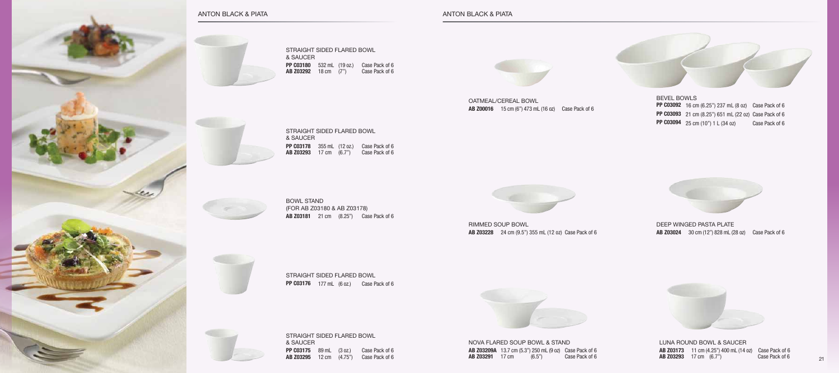straight sided flared bowl & saucer **PP C03180** 532 mL (19 oz.) Case Pack of 6 **AB Z03292** 18 cm (7") Case Pack of 6

straight sided flared bowl **PP C03176** 177 mL (6 oz.) Case Pack of 6



# anton black & Piata anton black & Piata



rimmed soup bowl **AB Z03228** 24 cm (9.5") 355 mL (12 oz) Case Pack of 6



Deep Winged Pasta Plate **AB Z03024** 30 cm (12") 828 mL (28 oz) Case Pack of 6



LUNA ROUND BOWL & Saucer **AB Z03173** 11 cm (4.25") 400 mL (14 oz) Case Pack of 6 **AB Z03293** 17 cm (6.7") Case Pack of 6

straight sided flared bowl

& SAUCER

**PP C03178** 355 mL (12 oz.) Case Pack of 6 **AB Z03293** 17 cm (6.7") Case Pack of 6



straight sided flared bowl & saucer **PP C03175** 89 mL (3 oz.) Case Pack of 6 **AB Z03295** 12 cm (4.75") Case Pack of 6



Oatmeal/Cereal Bowl **AB Z00016** 15 cm (6") 473 mL (16 oz) Case Pack of 6



BOWL STAND (for AB Z03180 & AB Z03178) **AB Z03181** 21 cm (8.25") Case Pack of 6

> Nova Flared Soup Bowl & stand **AB Z03209A** 13.7 cm (5.3") 250 mL (9 oz) Case Pack of 6 **AB Z03291** 17 cm (6.5") Case Pack of 6



bevel bowls **PP C03092** 16 cm (6.25") 237 mL (8 oz) Case Pack of 6 **PP C03093** 21 cm (8.25") 651 mL (22 oz) Case Pack of 6 **PP C03094** 25 cm (10") 1 L (34 oz) Case Pack of 6

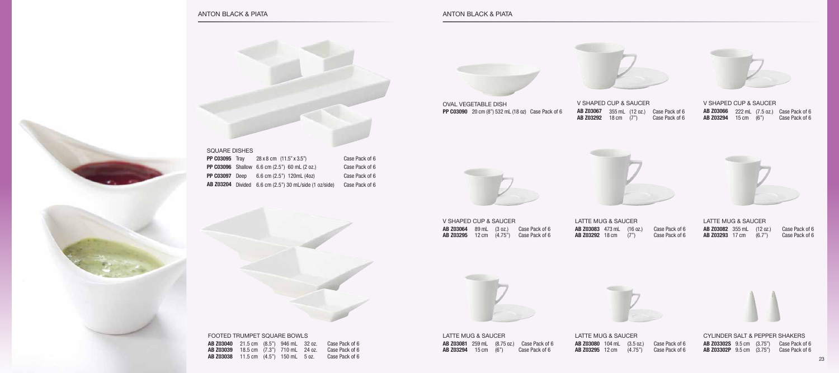v shaped cup & saucer **AB Z03067** 355 mL (12 oz.) Case Pack of 6 **AB Z03292** 18 cm (7") Case Pack of 6



LATTE MUG & SAUCER **AB Z03080** 104 mL (3.5 oz.) Case Pack of 6 **AB Z03295** 12 cm (4.75") Case Pack of 6



| V SHAPED CUP & SAUCER           |  |                |   |
|---------------------------------|--|----------------|---|
| <b>AB Z03064</b> 89 mL (3 oz.)  |  | Case Pack of 6 | Α |
| <b>AB Z03295</b> 12 cm $(4.75)$ |  | Case Pack of 6 | A |



latte mug & Saucer **AB Z03083** 473 mL (16 oz.) Case Pack of 6 **AB Z03292** 18 cm (7") Case Pack of 6



v shaped cup & saucer **AB Z03066** 222 mL (7.5 oz.) Case Pack of 6 **AB Z03294** 15 cm (6") Case Pack of 6



cylinder salt & pepper shakers **AB Z03302S** 9.5 cm (3.75") Case Pack of 6 **AB Z03302P** 9.5 cm (3.75") Case Pack of 6

| LATTE MUG & SAUCER               |  |        |                |  |  |  |
|----------------------------------|--|--------|----------------|--|--|--|
| <b>AB Z03082</b> 355 mL (12 oz.) |  |        | Case Pack of 6 |  |  |  |
| <b>AB Z03293</b> 17 cm           |  | (6.7") | Case Pack of 6 |  |  |  |



|                             | LATTE MUG & SAUCER |  |                                                   |  |  |
|-----------------------------|--------------------|--|---------------------------------------------------|--|--|
|                             |                    |  | <b>AB Z03081</b> 259 mL (8.75 oz.) Case Pack of 6 |  |  |
| <b>AB Z03294</b> 15 cm (6") |                    |  | Case Pack of 6                                    |  |  |



footed trumpet square bowls **AB Z03040** 21.5 cm (8.5") 946 mL 32 oz. Case Pack of 6 **AB Z03039** 18.5 cm (7.3") 710 mL 24 oz. Case Pack of 6 **AB Z03038** 11.5 cm (4.5") 150 mL 5 oz. Case Pack of 6



oval vegetable dish **PP C03090** 20 cm (8") 532 mL (18 oz) Case Pack of 6





|                       | SQUARE DISHES . |                                                               |                |  |  |  |  |
|-----------------------|-----------------|---------------------------------------------------------------|----------------|--|--|--|--|
| <b>PP C03095</b> Tray |                 | $28 \times 8$ cm $(11.5" \times 3.5")$                        | Case Pack of 6 |  |  |  |  |
|                       |                 | <b>PP C03096</b> Shallow 6.6 cm (2.5") 60 mL (2 oz.)          | Case Pack of 6 |  |  |  |  |
|                       |                 | <b>PP C03097</b> Deep 6.6 cm (2.5") 120mL (4oz)               | Case Pack of 6 |  |  |  |  |
|                       |                 | <b>AB Z03204</b> Divided 6.6 cm (2.5") 30 mL/side (1 oz/side) | Case Pack of 6 |  |  |  |  |

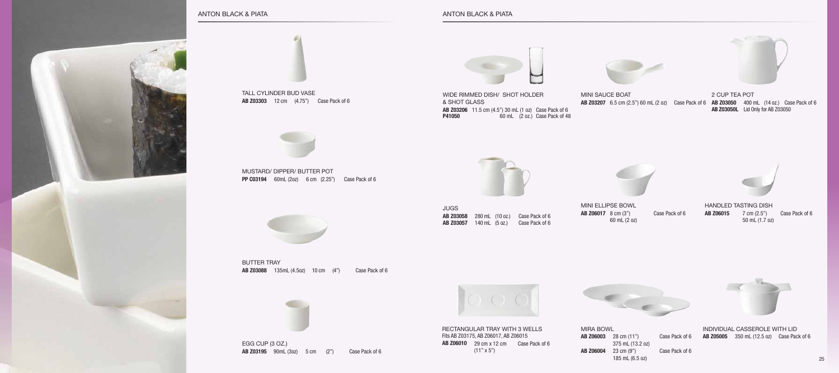

anton black & Piata

EGG CUP (3 OZ.) **AB Z03195** 90mL (3oz) 5 cm (2") Case Pack of 6



mustard/ dipper/ butter pot **PP C03194** 60mL (2oz) 6 cm (2.25") Case Pack of 6



butter tray **AB Z03088** 135mL (4.5oz) 10 cm (4") Case Pack of 6



**JUGS AB Z03058** 280 mL (10 oz.) Case Pack of 6 **AB Z03057** 140 mL (5 oz.) Case Pack of 6



tall cylinder bud vase **AB Z03303** 12 cm (4.75") Case Pack of 6



wide rimmed dish/ shot holder & shot glass **AB Z03206** 11.5 cm (4.5") 30 mL (1 oz) Case Pack of 6 **P41050** 60 mL (2 oz.) Case Pack of 48



2 CUP tea pot **AB Z03050** 400 mL (14 oz.) Case Pack of 6 **AB Z03050L** Lid Only for AB Z03050



mini sauce boat **AB Z03207** 6.5 cm (2.5") 60 mL (2 oz) Case Pack of 6



Rectangular Tray with 3 Wells Fits AB Z03175, AB Z06017, AB Z06015 **AB Z06010** 29 cm x 12 cm Case Pack of 6  $(11" \times 5")$ 



#### anton black & Piata



Mira Bowl **AB Z06003** 28 cm (11") 375 mL (13.2 oz) Case Pack of 6 **AB Z06004** 23 cm (9") 185 mL (6.5 oz)

Case Pack of 6



Individual Casserole with Lid **AB Z05005** 350 mL (12.5 oz) Case Pack of 6

Mini ElLipse Bowl **AB Z06017** 8 cm (3") 60 mL (2 oz)

Case Pack of 6



Handled Tasting Dish **AB Z06015** 7 cm (2.5") Case Pack of 6 50 mL (1.7 oz)